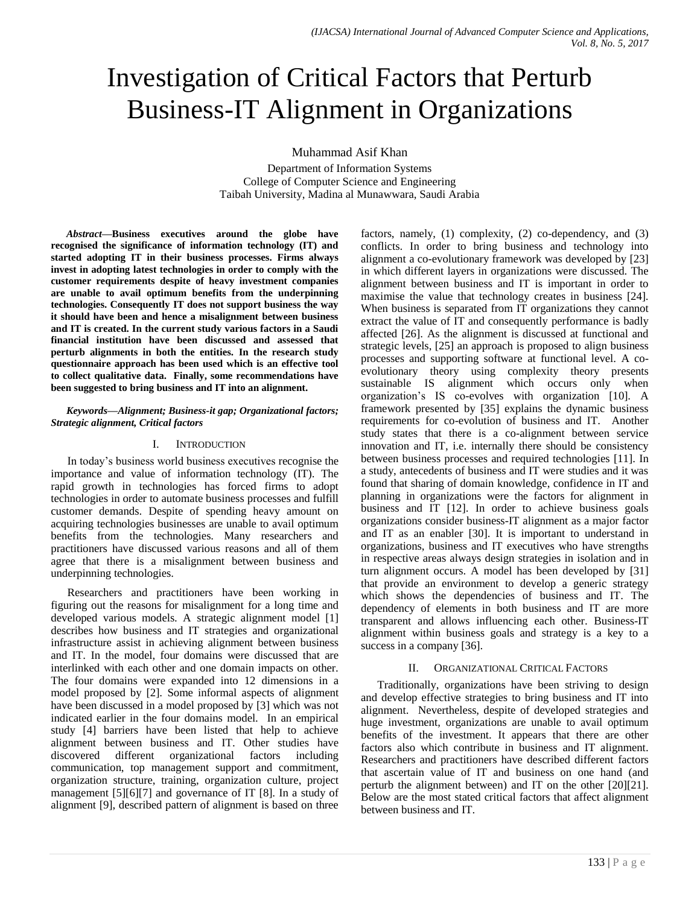# Investigation of Critical Factors that Perturb Business-IT Alignment in Organizations

Muhammad Asif Khan

Department of Information Systems College of Computer Science and Engineering Taibah University, Madina al Munawwara, Saudi Arabia

*Abstract***—Business executives around the globe have recognised the significance of information technology (IT) and started adopting IT in their business processes. Firms always invest in adopting latest technologies in order to comply with the customer requirements despite of heavy investment companies are unable to avail optimum benefits from the underpinning technologies. Consequently IT does not support business the way it should have been and hence a misalignment between business and IT is created. In the current study various factors in a Saudi financial institution have been discussed and assessed that perturb alignments in both the entities. In the research study questionnaire approach has been used which is an effective tool to collect qualitative data. Finally, some recommendations have been suggested to bring business and IT into an alignment.**

*Keywords—Alignment; Business-it gap; Organizational factors; Strategic alignment, Critical factors*

## I. INTRODUCTION

In today's business world business executives recognise the importance and value of information technology (IT). The rapid growth in technologies has forced firms to adopt technologies in order to automate business processes and fulfill customer demands. Despite of spending heavy amount on acquiring technologies businesses are unable to avail optimum benefits from the technologies. Many researchers and practitioners have discussed various reasons and all of them agree that there is a misalignment between business and underpinning technologies.

Researchers and practitioners have been working in figuring out the reasons for misalignment for a long time and developed various models. A strategic alignment model [1] describes how business and IT strategies and organizational infrastructure assist in achieving alignment between business and IT. In the model, four domains were discussed that are interlinked with each other and one domain impacts on other. The four domains were expanded into 12 dimensions in a model proposed by [2]. Some informal aspects of alignment have been discussed in a model proposed by [3] which was not indicated earlier in the four domains model. In an empirical study [4] barriers have been listed that help to achieve alignment between business and IT. Other studies have discovered different organizational factors including communication, top management support and commitment, organization structure, training, organization culture, project management [5][6][7] and governance of IT [8]. In a study of alignment [9], described pattern of alignment is based on three

factors, namely, (1) complexity, (2) co-dependency, and (3) conflicts. In order to bring business and technology into alignment a co-evolutionary framework was developed by [23] in which different layers in organizations were discussed. The alignment between business and IT is important in order to maximise the value that technology creates in business [24]. When business is separated from IT organizations they cannot extract the value of IT and consequently performance is badly affected [26]. As the alignment is discussed at functional and strategic levels, [25] an approach is proposed to align business processes and supporting software at functional level. A coevolutionary theory using complexity theory presents sustainable IS alignment which occurs only when organization's IS co-evolves with organization [10]. A framework presented by [35] explains the dynamic business requirements for co-evolution of business and IT. Another study states that there is a co-alignment between service innovation and IT, i.e. internally there should be consistency between business processes and required technologies [11]. In a study, antecedents of business and IT were studies and it was found that sharing of domain knowledge, confidence in IT and planning in organizations were the factors for alignment in business and IT [12]. In order to achieve business goals organizations consider business-IT alignment as a major factor and IT as an enabler [30]. It is important to understand in organizations, business and IT executives who have strengths in respective areas always design strategies in isolation and in turn alignment occurs. A model has been developed by [31] that provide an environment to develop a generic strategy which shows the dependencies of business and IT. The dependency of elements in both business and IT are more transparent and allows influencing each other. Business-IT alignment within business goals and strategy is a key to a success in a company [36].

### II. ORGANIZATIONAL CRITICAL FACTORS

Traditionally, organizations have been striving to design and develop effective strategies to bring business and IT into alignment. Nevertheless, despite of developed strategies and huge investment, organizations are unable to avail optimum benefits of the investment. It appears that there are other factors also which contribute in business and IT alignment. Researchers and practitioners have described different factors that ascertain value of IT and business on one hand (and perturb the alignment between) and IT on the other [20][21]. Below are the most stated critical factors that affect alignment between business and IT.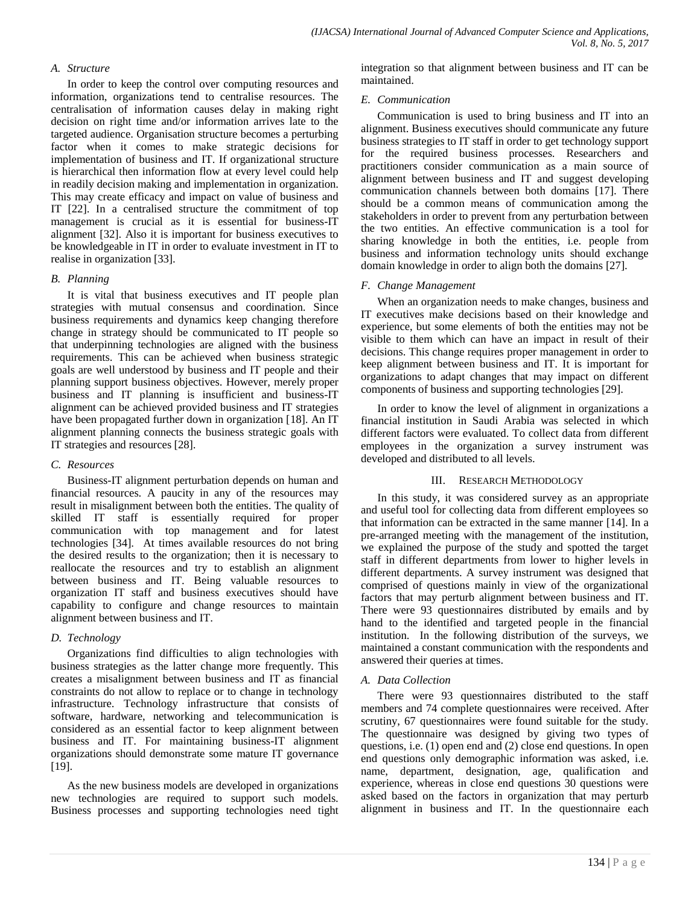## *A. Structure*

In order to keep the control over computing resources and information, organizations tend to centralise resources. The centralisation of information causes delay in making right decision on right time and/or information arrives late to the targeted audience. Organisation structure becomes a perturbing factor when it comes to make strategic decisions for implementation of business and IT. If organizational structure is hierarchical then information flow at every level could help in readily decision making and implementation in organization. This may create efficacy and impact on value of business and IT [22]. In a centralised structure the commitment of top management is crucial as it is essential for business-IT alignment [32]. Also it is important for business executives to be knowledgeable in IT in order to evaluate investment in IT to realise in organization [33].

#### *B. Planning*

It is vital that business executives and IT people plan strategies with mutual consensus and coordination. Since business requirements and dynamics keep changing therefore change in strategy should be communicated to IT people so that underpinning technologies are aligned with the business requirements. This can be achieved when business strategic goals are well understood by business and IT people and their planning support business objectives. However, merely proper business and IT planning is insufficient and business-IT alignment can be achieved provided business and IT strategies have been propagated further down in organization [18]. An IT alignment planning connects the business strategic goals with IT strategies and resources [28].

### *C. Resources*

Business-IT alignment perturbation depends on human and financial resources. A paucity in any of the resources may result in misalignment between both the entities. The quality of skilled IT staff is essentially required for proper communication with top management and for latest technologies [34]. At times available resources do not bring the desired results to the organization; then it is necessary to reallocate the resources and try to establish an alignment between business and IT. Being valuable resources to organization IT staff and business executives should have capability to configure and change resources to maintain alignment between business and IT.

### *D. Technology*

Organizations find difficulties to align technologies with business strategies as the latter change more frequently. This creates a misalignment between business and IT as financial constraints do not allow to replace or to change in technology infrastructure. Technology infrastructure that consists of software, hardware, networking and telecommunication is considered as an essential factor to keep alignment between business and IT. For maintaining business-IT alignment organizations should demonstrate some mature IT governance [19].

As the new business models are developed in organizations new technologies are required to support such models. Business processes and supporting technologies need tight integration so that alignment between business and IT can be maintained.

#### *E. Communication*

Communication is used to bring business and IT into an alignment. Business executives should communicate any future business strategies to IT staff in order to get technology support for the required business processes. Researchers and practitioners consider communication as a main source of alignment between business and IT and suggest developing communication channels between both domains [17]. There should be a common means of communication among the stakeholders in order to prevent from any perturbation between the two entities. An effective communication is a tool for sharing knowledge in both the entities, i.e. people from business and information technology units should exchange domain knowledge in order to align both the domains [27].

### *F. Change Management*

When an organization needs to make changes, business and IT executives make decisions based on their knowledge and experience, but some elements of both the entities may not be visible to them which can have an impact in result of their decisions. This change requires proper management in order to keep alignment between business and IT. It is important for organizations to adapt changes that may impact on different components of business and supporting technologies [29].

In order to know the level of alignment in organizations a financial institution in Saudi Arabia was selected in which different factors were evaluated. To collect data from different employees in the organization a survey instrument was developed and distributed to all levels.

### III. RESEARCH METHODOLOGY

In this study, it was considered survey as an appropriate and useful tool for collecting data from different employees so that information can be extracted in the same manner [14]. In a pre-arranged meeting with the management of the institution, we explained the purpose of the study and spotted the target staff in different departments from lower to higher levels in different departments. A survey instrument was designed that comprised of questions mainly in view of the organizational factors that may perturb alignment between business and IT. There were 93 questionnaires distributed by emails and by hand to the identified and targeted people in the financial institution. In the following distribution of the surveys, we maintained a constant communication with the respondents and answered their queries at times.

### *A. Data Collection*

There were 93 questionnaires distributed to the staff members and 74 complete questionnaires were received. After scrutiny, 67 questionnaires were found suitable for the study. The questionnaire was designed by giving two types of questions, i.e. (1) open end and (2) close end questions. In open end questions only demographic information was asked, i.e. name, department, designation, age, qualification and experience, whereas in close end questions 30 questions were asked based on the factors in organization that may perturb alignment in business and IT. In the questionnaire each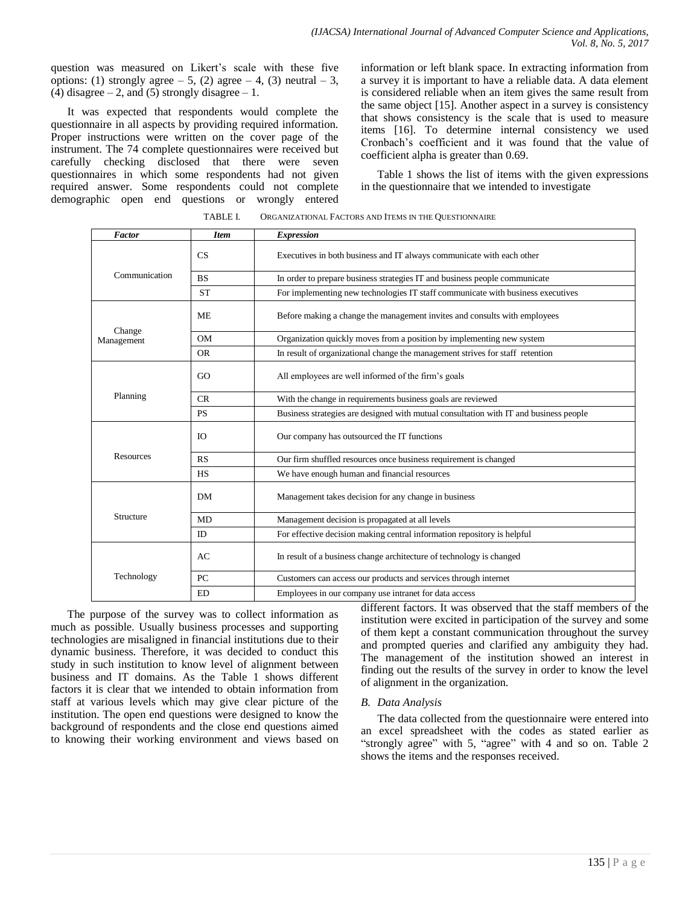question was measured on Likert's scale with these five options: (1) strongly agree  $-5$ , (2) agree  $-4$ , (3) neutral  $-3$ , (4) disagree  $-2$ , and (5) strongly disagree  $-1$ .

It was expected that respondents would complete the questionnaire in all aspects by providing required information. Proper instructions were written on the cover page of the instrument. The 74 complete questionnaires were received but carefully checking disclosed that there were seven questionnaires in which some respondents had not given required answer. Some respondents could not complete demographic open end questions or wrongly entered information or left blank space. In extracting information from a survey it is important to have a reliable data. A data element is considered reliable when an item gives the same result from the same object [15]. Another aspect in a survey is consistency that shows consistency is the scale that is used to measure items [16]. To determine internal consistency we used Cronbach's coefficient and it was found that the value of coefficient alpha is greater than 0.69.

Table 1 shows the list of items with the given expressions in the questionnaire that we intended to investigate

| Factor               | <b>Item</b><br><b>Expression</b> |                                                                                       |  |  |  |  |  |
|----------------------|----------------------------------|---------------------------------------------------------------------------------------|--|--|--|--|--|
|                      | CS                               | Executives in both business and IT always communicate with each other                 |  |  |  |  |  |
| Communication        | <b>BS</b>                        | In order to prepare business strategies IT and business people communicate            |  |  |  |  |  |
|                      | <b>ST</b>                        | For implementing new technologies IT staff communicate with business executives       |  |  |  |  |  |
| Change<br>Management | <b>ME</b>                        | Before making a change the management invites and consults with employees             |  |  |  |  |  |
|                      | <b>OM</b>                        | Organization quickly moves from a position by implementing new system                 |  |  |  |  |  |
|                      | OR.                              | In result of organizational change the management strives for staff retention         |  |  |  |  |  |
| Planning             | GO                               | All employees are well informed of the firm's goals                                   |  |  |  |  |  |
|                      | CR                               | With the change in requirements business goals are reviewed                           |  |  |  |  |  |
|                      | <b>PS</b>                        | Business strategies are designed with mutual consultation with IT and business people |  |  |  |  |  |
| <b>Resources</b>     | IO.                              | Our company has outsourced the IT functions                                           |  |  |  |  |  |
|                      | RS                               | Our firm shuffled resources once business requirement is changed                      |  |  |  |  |  |
|                      | HS                               | We have enough human and financial resources                                          |  |  |  |  |  |
| Structure            | <b>DM</b>                        | Management takes decision for any change in business                                  |  |  |  |  |  |
|                      | MD                               | Management decision is propagated at all levels                                       |  |  |  |  |  |
|                      | ID                               | For effective decision making central information repository is helpful               |  |  |  |  |  |
| Technology           | AC                               | In result of a business change architecture of technology is changed                  |  |  |  |  |  |
|                      | PC                               | Customers can access our products and services through internet                       |  |  |  |  |  |
|                      | <b>ED</b>                        | Employees in our company use intranet for data access                                 |  |  |  |  |  |

TABLE I. ORGANIZATIONAL FACTORS AND ITEMS IN THE QUESTIONNAIRE

The purpose of the survey was to collect information as much as possible. Usually business processes and supporting technologies are misaligned in financial institutions due to their dynamic business. Therefore, it was decided to conduct this study in such institution to know level of alignment between business and IT domains. As the Table 1 shows different factors it is clear that we intended to obtain information from staff at various levels which may give clear picture of the institution. The open end questions were designed to know the background of respondents and the close end questions aimed to knowing their working environment and views based on different factors. It was observed that the staff members of the institution were excited in participation of the survey and some of them kept a constant communication throughout the survey and prompted queries and clarified any ambiguity they had. The management of the institution showed an interest in finding out the results of the survey in order to know the level of alignment in the organization.

### *B. Data Analysis*

The data collected from the questionnaire were entered into an excel spreadsheet with the codes as stated earlier as "strongly agree" with 5, "agree" with 4 and so on. Table 2 shows the items and the responses received.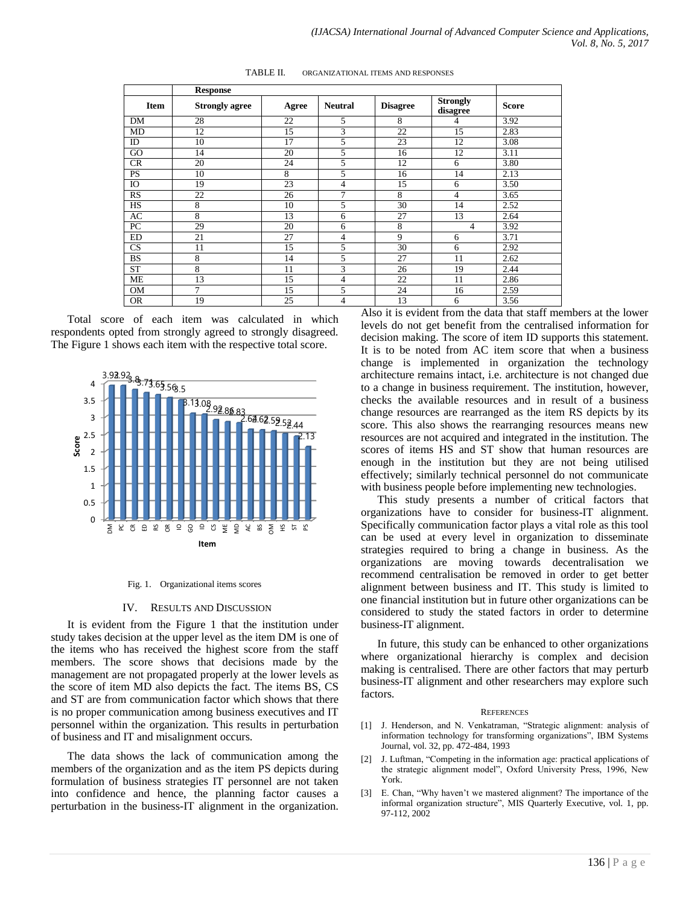|             | <b>Response</b>       |       |                |                 |                             |              |
|-------------|-----------------------|-------|----------------|-----------------|-----------------------------|--------------|
| <b>Item</b> | <b>Strongly agree</b> | Agree | <b>Neutral</b> | <b>Disagree</b> | <b>Strongly</b><br>disagree | <b>Score</b> |
| DM          | 28                    | 22    | 5              | 8               | 4                           | 3.92         |
| MD          | 12                    | 15    | 3              | 22              | 15                          | 2.83         |
| ID          | 10                    | 17    | 5              | 23              | 12                          | 3.08         |
| GO          | 14                    | 20    | 5              | 16              | 12                          | 3.11         |
| CR          | 20                    | 24    | 5              | 12              | 6                           | 3.80         |
| <b>PS</b>   | 10                    | 8     | 5              | 16              | 14                          | 2.13         |
| IO          | 19                    | 23    | 4              | 15              | 6                           | 3.50         |
| <b>RS</b>   | 22                    | 26    | $\overline{7}$ | 8               | 4                           | 3.65         |
| HS          | 8                     | 10    | 5              | 30              | 14                          | 2.52         |
| AC          | 8                     | 13    | 6              | 27              | 13                          | 2.64         |
| PC          | 29                    | 20    | 6              | 8               | 4                           | 3.92         |
| ED          | 21                    | 27    | 4              | 9               | 6                           | 3.71         |
| CS          | 11                    | 15    | 5              | 30              | 6                           | 2.92         |
| <b>BS</b>   | 8                     | 14    | 5              | 27              | 11                          | 2.62         |
| <b>ST</b>   | 8                     | 11    | 3              | 26              | 19                          | 2.44         |
| <b>ME</b>   | 13                    | 15    | 4              | 22              | 11                          | 2.86         |
| <b>OM</b>   | 7                     | 15    | 5              | 24              | 16                          | 2.59         |
| <b>OR</b>   | 19                    | 25    | 4              | 13              | 6                           | 3.56         |

TABLE II. ORGANIZATIONAL ITEMS AND RESPONSES

Total score of each item was calculated in which respondents opted from strongly agreed to strongly disagreed. The Figure 1 shows each item with the respective total score.



#### Fig. 1. Organizational items scores

#### IV. RESULTS AND DISCUSSION

It is evident from the Figure 1 that the institution under study takes decision at the upper level as the item DM is one of the items who has received the highest score from the staff members. The score shows that decisions made by the management are not propagated properly at the lower levels as the score of item MD also depicts the fact. The items BS, CS and ST are from communication factor which shows that there is no proper communication among business executives and IT personnel within the organization. This results in perturbation of business and IT and misalignment occurs.

The data shows the lack of communication among the members of the organization and as the item PS depicts during formulation of business strategies IT personnel are not taken into confidence and hence, the planning factor causes a perturbation in the business-IT alignment in the organization. Also it is evident from the data that staff members at the lower levels do not get benefit from the centralised information for decision making. The score of item ID supports this statement. It is to be noted from AC item score that when a business change is implemented in organization the technology architecture remains intact, i.e. architecture is not changed due to a change in business requirement. The institution, however, checks the available resources and in result of a business change resources are rearranged as the item RS depicts by its score. This also shows the rearranging resources means new resources are not acquired and integrated in the institution. The scores of items HS and ST show that human resources are enough in the institution but they are not being utilised effectively; similarly technical personnel do not communicate with business people before implementing new technologies.

This study presents a number of critical factors that organizations have to consider for business-IT alignment. Specifically communication factor plays a vital role as this tool can be used at every level in organization to disseminate strategies required to bring a change in business. As the organizations are moving towards decentralisation we recommend centralisation be removed in order to get better alignment between business and IT. This study is limited to one financial institution but in future other organizations can be considered to study the stated factors in order to determine business-IT alignment.

In future, this study can be enhanced to other organizations where organizational hierarchy is complex and decision making is centralised. There are other factors that may perturb business-IT alignment and other researchers may explore such factors.

#### **REFERENCES**

- [1] J. Henderson, and N. Venkatraman, "Strategic alignment: analysis of information technology for transforming organizations", IBM Systems Journal, vol. 32, pp. 472-484, 1993
- [2] J. Luftman, "Competing in the information age: practical applications of the strategic alignment model", Oxford University Press, 1996, New York.
- [3] E. Chan, "Why haven't we mastered alignment? The importance of the informal organization structure", MIS Quarterly Executive, vol. 1, pp. 97-112, 2002